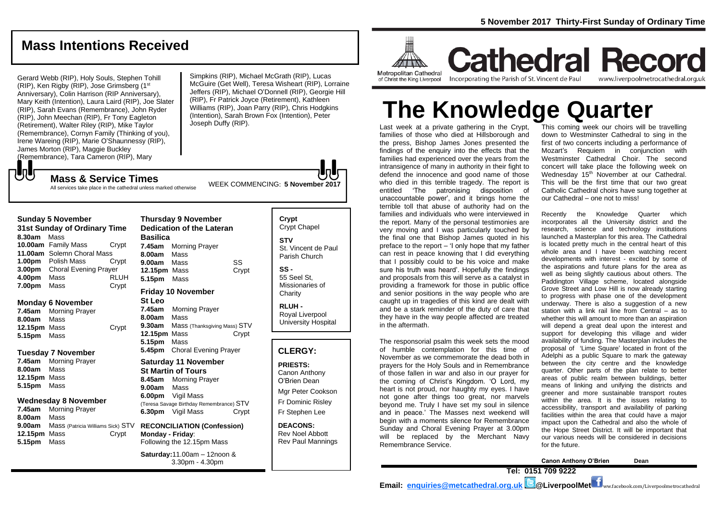## **Mass Intentions Received**

Gerard Webb (RIP), Holy Souls, Stephen Tohill (RIP), Ken Rigby (RIP), Jose Grimsberg (1st Anniversary), Colin Harrison (RIP Anniversary), Mary Keith (Intention), Laura Laird (RIP), Joe Slater (RIP), Sarah Evans (Remembrance), John Ryder (RIP), John Meechan (RIP), Fr Tony Eagleton (Retirement), Walter Riley (RIP), Mike Taylor (Remembrance), Cornyn Family (Thinking of you), Irene Wareing (RIP), Marie O'Shaunnessy (RIP), James Morton (RIP), Maggie Buckley (Remembrance), Tara Cameron (RIP), Mary

Simpkins (RIP), Michael McGrath (RIP), Lucas McGuire (Get Well), Teresa Wisheart (RIP), Lorraine Jeffers (RIP), Michael O'Donnell (RIP), Georgie Hill (RIP), Fr Patrick Joyce (Retirement), Kathleen Williams (RIP), Joan Parry (RIP), Chris Hodgkins (Intention), Sarah Brown Fox (Intention), Peter Joseph Duffy (RIP).

# もし

**Sunday 5 November** 

**Monday 6 November 7.45am** Morning Prayer **8.00am** Mass

**Tuesday 7 November 7.45am** Morning Prayer **8.00am** Mass **12.15pm** Mass **5.15pm** Mass

**Wednesday 8 November 7.45am** Morning Prayer **8.00am** Mass

**9.00am** Mass (Patricia Williams Sick) STV **12.15pm** Mass Crypt

**5.15pm** Mass

**5.15pm** Mass

**11.00am** Solemn Choral Mass

**8.30am** Mass

WEEK COMMENCING: **5 November <sup>2017</sup> Mass & Service Times** All services take place in the cathedral unless marked otherwise

**31st Sunday of Ordinary Time 10.00am** Family Mass Crypt **1.00pm** Polish Mass Crypt **3.00pm** Choral Evening Prayer **4.00pm** Mass RLUH **7.00pm** Mass Crypt **12.15pm** Mass Crypt **Thursday 9 November Dedication of the Lateran Basilica 7.45am** Morning Prayer **8.00am** Mass **9.00am** Mass SS **12.15pm** Mass Crypt **5.15pm** Mass **Friday 10 November St Leo 7.45am** Morning Prayer **8.00am** Mass **9.30am** Mass (Thanksgiving Mass) STV **12.15pm** Mass Crypt **5.15pm** Mass **5.45pm** Choral Evening Prayer **Saturday 11 November**

**St Martin of Tours 8.45am** Morning Prayer **9.00am** Mass **6.00pm** Vigil Mass (Teresa Savage Birthday Remembrance) STV **6.30pm** Vigil Mass Crypt

**RECONCILIATION (Confession) Monday - Friday**: Following the 12.15pm Mass

**Saturday:**11.00am – 12noon & 3.30pm - 4.30pm

#### **Crypt**  Crypt Chapel **STV** St. Vincent de Paul Parish Church

**SS -** 55 Seel St, Missionaries of **Charity** 

**RLUH -** Royal Liverpool University Hospital

#### **CLERGY:**

**PRIESTS:** Canon Anthony O'Brien *Dean*

Mgr Peter Cookson Fr Dominic Risley Fr Stephen Lee

**DEACONS:** Rev Noel Abbott Rev Paul Mannings



**Cathedral Record** Incorporating the Parish of St. Vincent de Paul www.liverpoolmetrocathedral.org.uk

# **The Knowledge Quarter**

Last week at a private gathering in the Crypt, families of those who died at Hillsborough and the press, Bishop James Jones presented the findings of the enquiry into the effects that the families had experienced over the years from the intransigence of many in authority in their fight to defend the innocence and good name of those who died in this terrible tragedy. The report is entitled 'The patronising disposition of unaccountable power', and it brings home the terrible toll that abuse of authority had on the families and individuals who were interviewed in the report. Many of the personal testimonies are very moving and I was particularly touched by the final one that Bishop James quoted in his preface to the report – 'I only hope that my father can rest in peace knowing that I did everything that I possibly could to be his voice and make sure his truth was heard'. Hopefully the findings and proposals from this will serve as a catalyst in providing a framework for those in public office and senior positions in the way people who are caught up in tragedies of this kind are dealt with and be a stark reminder of the duty of care that they have in the way people affected are treated in the aftermath.

The responsorial psalm this week sets the mood of humble contemplation for this time of November as we commemorate the dead both in prayers for the Holy Souls and in Remembrance of those fallen in war and also in our prayer for the coming of Christ's Kingdom. 'O Lord, my heart is not proud, nor haughty my eyes. I have not gone after things too great, nor marvels beyond me. Truly I have set my soul in silence and in peace.' The Masses next weekend will begin with a moments silence for Remembrance Sunday and Choral Evening Prayer at 3.00pm will be replaced by the Merchant Navy Remembrance Service.

This coming week our choirs will be travelling down to Westminster Cathedral to sing in the first of two concerts including a performance of Mozart's Requiem in conjunction with Westminster Cathedral Choir. The second concert will take place the following week on Wednesday 15<sup>th</sup> November at our Cathedral. This will be the first time that our two great Catholic Cathedral choirs have sung together at our Cathedral – one not to miss!

Recently the Knowledge Quarter which incorporates all the University district and the research, science and technology institutions launched a Masterplan for this area. The Cathedral is located pretty much in the central heart of this whole area and I have been watching recent developments with interest - excited by some of the aspirations and future plans for the area as well as being slightly cautious about others. The Paddington Village scheme, located alongside Grove Street and Low Hill is now already starting to progress with phase one of the development underway. There is also a suggestion of a new station with a link rail line from Central – as to whether this will amount to more than an aspiration will depend a great deal upon the interest and support for developing this village and wider availability of funding. The Masterplan includes the proposal of 'Lime Square' located in front of the Adelphi as a public Square to mark the gateway between the city centre and the knowledge quarter. Other parts of the plan relate to better areas of public realm between buildings, better means of linking and unifying the districts and greener and more sustainable transport routes within the area. It is the issues relating to accessibility, transport and availability of parking facilities within the area that could have a major impact upon the Cathedral and also the whole of the Hope Street District. It will be important that our various needs will be considered in decisions for the future.

**Canon Anthony O'Brien Dean Tel: 0151 709 9222 Email: [enquiries@metcathedral.org.uk](mailto:enquiries@metcathedral.org.uk) | B** @LiverpoolMet **f** ww.facebook.com/Liverpoolmetrocathedral